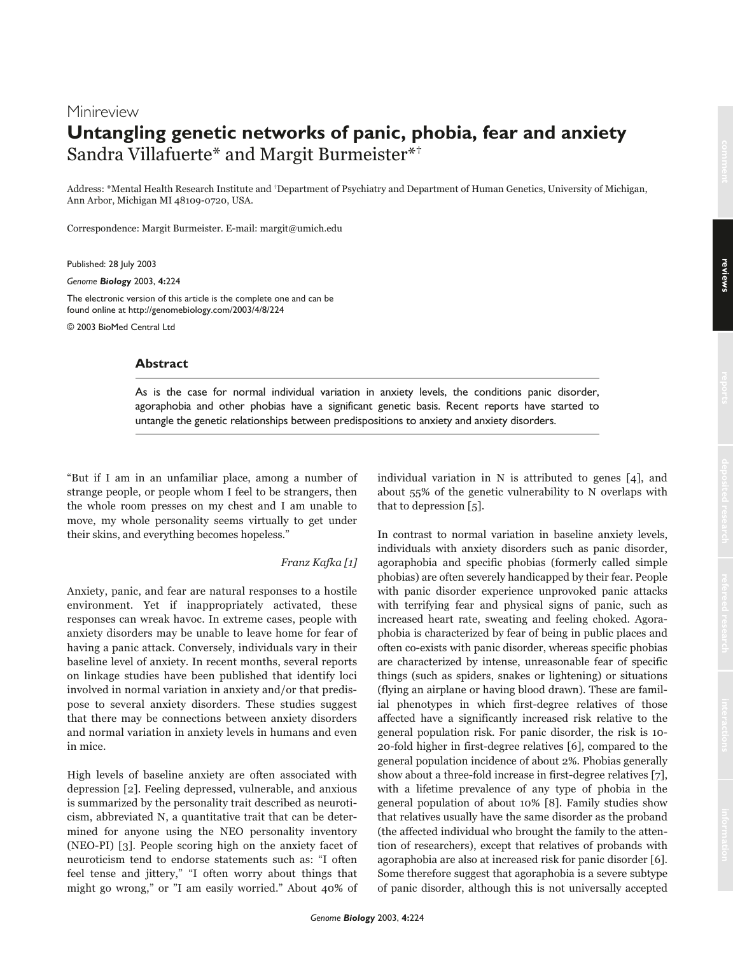# **Minireview Untangling genetic networks of panic, phobia, fear and anxiety** Sandra Villafuerte\* and Margit Burmeister\*†

Address: \*Mental Health Research Institute and †Department of Psychiatry and Department of Human Genetics, University of Michigan, Ann Arbor, Michigan MI 48109-0720, USA.

Correspondence: Margit Burmeister. E-mail: margit@umich.edu

Published: 28 July 2003

*Genome Biology* 2003, **4:**224

The electronic version of this article is the complete one and can be found online at http://genomebiology.com/2003/4/8/224

© 2003 BioMed Central Ltd

### **Abstract**

As is the case for normal individual variation in anxiety levels, the conditions panic disorder, agoraphobia and other phobias have a significant genetic basis. Recent reports have started to untangle the genetic relationships between predispositions to anxiety and anxiety disorders.

"But if I am in an unfamiliar place, among a number of strange people, or people whom I feel to be strangers, then the whole room presses on my chest and I am unable to move, my whole personality seems virtually to get under their skins, and everything becomes hopeless."

#### Franz Kafka [1]

Anxiety, panic, and fear are natural responses to a hostile environment. Yet if inappropriately activated, these responses can wreak havoc. In extreme cases, people with anxiety disorders may be unable to leave home for fear of having a panic attack. Conversely, individuals vary in their baseline level of anxiety. In recent months, several reports on linkage studies have been published that identify loci involved in normal variation in anxiety and/or that predispose to several anxiety disorders. These studies suggest that there may be connections between anxiety disorders and normal variation in anxiety levels in humans and even in mice.

High levels of baseline anxiety are often associated with depression [2]. Feeling depressed, vulnerable, and anxious is summarized by the personality trait described as neuroticism, abbreviated N, a quantitative trait that can be determined for anyone using the NEO personality inventory (NEO-PI) [3]. People scoring high on the anxiety facet of neuroticism tend to endorse statements such as: "I often feel tense and jittery," "I often worry about things that might go wrong," or "I am easily worried." About 40% of individual variation in N is attributed to genes [4], and about 55% of the genetic vulnerability to N overlaps with that to depression [5].

In contrast to normal variation in baseline anxiety levels, individuals with anxiety disorders such as panic disorder, agoraphobia and specific phobias (formerly called simple phobias) are often severely handicapped by their fear. People with panic disorder experience unprovoked panic attacks with terrifying fear and physical signs of panic, such as increased heart rate, sweating and feeling choked. Agoraphobia is characterized by fear of being in public places and often co-exists with panic disorder, whereas specific phobias are characterized by intense, unreasonable fear of specific things (such as spiders, snakes or lightening) or situations (flying an airplane or having blood drawn). These are familial phenotypes in which first-degree relatives of those affected have a significantly increased risk relative to the general population risk. For panic disorder, the risk is 10- 20-fold higher in first-degree relatives [6], compared to the general population incidence of about 2%. Phobias generally show about a three-fold increase in first-degree relatives [7], with a lifetime prevalence of any type of phobia in the general population of about 10% [8]. Family studies show that relatives usually have the same disorder as the proband (the affected individual who brought the family to the attention of researchers), except that relatives of probands with agoraphobia are also at increased risk for panic disorder [6]. Some therefore suggest that agoraphobia is a severe subtype of panic disorder, although this is not universally accepted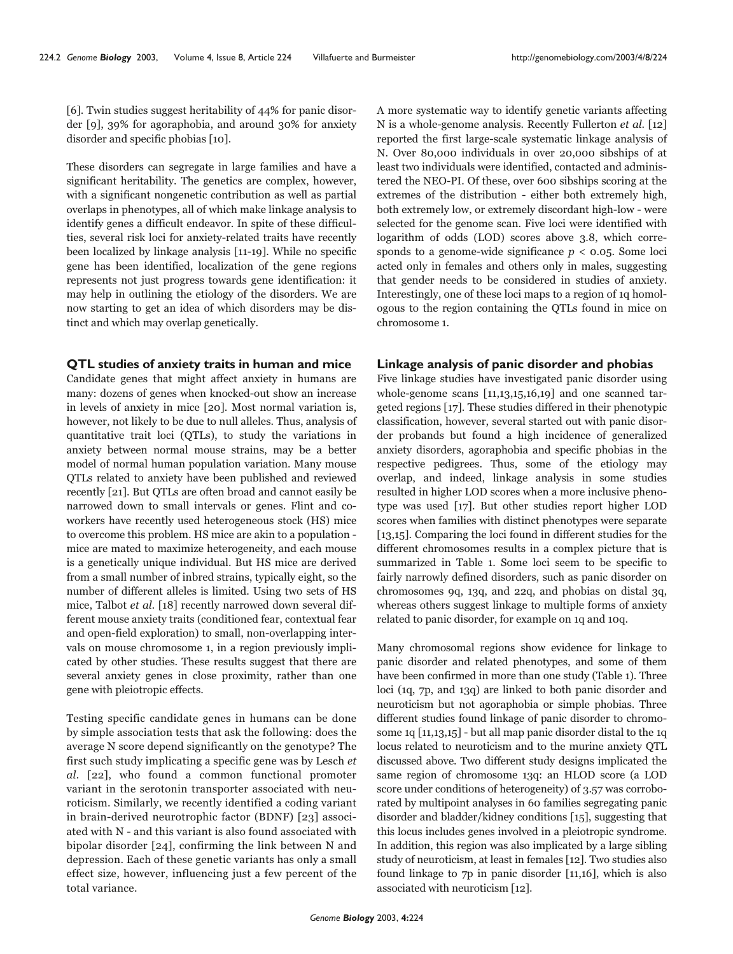[6]. Twin studies suggest heritability of 44% for panic disorder [9], 39% for agoraphobia, and around 30% for anxiety disorder and specific phobias [10].

These disorders can segregate in large families and have a significant heritability. The genetics are complex, however, with a significant nongenetic contribution as well as partial overlaps in phenotypes, all of which make linkage analysis to identify genes a difficult endeavor. In spite of these difficulties, several risk loci for anxiety-related traits have recently been localized by linkage analysis [11-19]. While no specific gene has been identified, localization of the gene regions represents not just progress towards gene identification: it may help in outlining the etiology of the disorders. We are now starting to get an idea of which disorders may be distinct and which may overlap genetically.

#### **QTL studies of anxiety traits in human and mice**

Candidate genes that might affect anxiety in humans are many: dozens of genes when knocked-out show an increase in levels of anxiety in mice [20]. Most normal variation is, however, not likely to be due to null alleles. Thus, analysis of quantitative trait loci (QTLs), to study the variations in anxiety between normal mouse strains, may be a better model of normal human population variation. Many mouse QTLs related to anxiety have been published and reviewed recently [21]. But QTLs are often broad and cannot easily be narrowed down to small intervals or genes. Flint and coworkers have recently used heterogeneous stock (HS) mice to overcome this problem. HS mice are akin to a population mice are mated to maximize heterogeneity, and each mouse is a genetically unique individual. But HS mice are derived from a small number of inbred strains, typically eight, so the number of different alleles is limited. Using two sets of HS mice, Talbot et al. [18] recently narrowed down several different mouse anxiety traits (conditioned fear, contextual fear and open-field exploration) to small, non-overlapping intervals on mouse chromosome 1, in a region previously implicated by other studies. These results suggest that there are several anxiety genes in close proximity, rather than one gene with pleiotropic effects.

Testing specific candidate genes in humans can be done by simple association tests that ask the following: does the average N score depend significantly on the genotype? The first such study implicating a specific gene was by Lesch et al. [22], who found a common functional promoter variant in the serotonin transporter associated with neuroticism. Similarly, we recently identified a coding variant in brain-derived neurotrophic factor (BDNF) [23] associated with N - and this variant is also found associated with bipolar disorder [24], confirming the link between N and depression. Each of these genetic variants has only a small effect size, however, influencing just a few percent of the total variance.

A more systematic way to identify genetic variants affecting N is a whole-genome analysis. Recently Fullerton et al. [12] reported the first large-scale systematic linkage analysis of N. Over 80,000 individuals in over 20,000 sibships of at least two individuals were identified, contacted and administered the NEO-PI. Of these, over 600 sibships scoring at the extremes of the distribution - either both extremely high, both extremely low, or extremely discordant high-low - were selected for the genome scan. Five loci were identified with logarithm of odds (LOD) scores above 3.8, which corresponds to a genome-wide significance  $p < 0.05$ . Some loci acted only in females and others only in males, suggesting that gender needs to be considered in studies of anxiety. Interestingly, one of these loci maps to a region of 1q homologous to the region containing the QTLs found in mice on chromosome 1.

#### **Linkage analysis of panic disorder and phobias**

Five linkage studies have investigated panic disorder using whole-genome scans [11,13,15,16,19] and one scanned targeted regions [17]. These studies differed in their phenotypic classification, however, several started out with panic disorder probands but found a high incidence of generalized anxiety disorders, agoraphobia and specific phobias in the respective pedigrees. Thus, some of the etiology may overlap, and indeed, linkage analysis in some studies resulted in higher LOD scores when a more inclusive phenotype was used [17]. But other studies report higher LOD scores when families with distinct phenotypes were separate [13,15]. Comparing the loci found in different studies for the different chromosomes results in a complex picture that is summarized in Table 1. Some loci seem to be specific to fairly narrowly defined disorders, such as panic disorder on chromosomes 9q, 13q, and 22q, and phobias on distal 3q, whereas others suggest linkage to multiple forms of anxiety related to panic disorder, for example on 1q and 10q.

Many chromosomal regions show evidence for linkage to panic disorder and related phenotypes, and some of them have been confirmed in more than one study (Table 1). Three loci (1q, 7p, and 13q) are linked to both panic disorder and neuroticism but not agoraphobia or simple phobias. Three different studies found linkage of panic disorder to chromosome 1q [11,13,15] - but all map panic disorder distal to the 1q locus related to neuroticism and to the murine anxiety QTL discussed above. Two different study designs implicated the same region of chromosome 13q: an HLOD score (a LOD score under conditions of heterogeneity) of 3.57 was corroborated by multipoint analyses in 60 families segregating panic disorder and bladder/kidney conditions [15], suggesting that this locus includes genes involved in a pleiotropic syndrome. In addition, this region was also implicated by a large sibling study of neuroticism, at least in females [12]. Two studies also found linkage to 7p in panic disorder [11,16], which is also associated with neuroticism [12].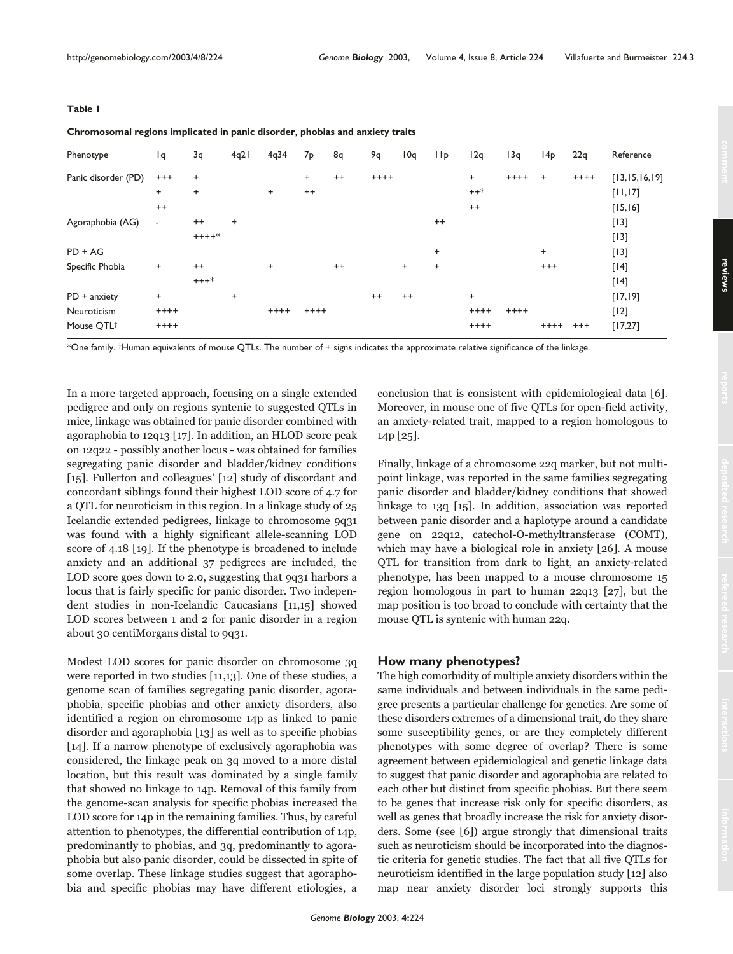**Table 1**

| Chromosomal regions implicated in panic disorder, phobias and anxiety traits |                |           |           |           |                |         |         |         |           |           |        |                 |          |                  |
|------------------------------------------------------------------------------|----------------|-----------|-----------|-----------|----------------|---------|---------|---------|-----------|-----------|--------|-----------------|----------|------------------|
| Phenotype                                                                    | Ιq             | 3q        | 4q21      | 4q34      | 7 <sub>p</sub> | 8q      | 9q      | 10q     | 1 I p     | 12q       | 13q    | 14 <sub>p</sub> | 22q      | Reference        |
| Panic disorder (PD)                                                          | $^{+++}$       | $\ddot{}$ |           |           | $\ddot{}$      | $^{++}$ | $++++$  |         |           | $\ddot{}$ | $++++$ | $\ddot{}$       | $++++$   | [13, 15, 16, 19] |
|                                                                              | $\ddot{}$      | $\ddot{}$ |           | $^{+}$    | $^{++}$        |         |         |         |           | $++*$     |        |                 |          | [11, 17]         |
|                                                                              | $^{++}$        |           |           |           |                |         |         |         |           | $^{++}$   |        |                 |          | [15, 16]         |
| Agoraphobia (AG)                                                             | $\blacksquare$ | $^{++}$   | $\ddot{}$ |           |                |         |         |         | $^{++}$   |           |        |                 |          | $[13]$           |
|                                                                              |                | $++++*$   |           |           |                |         |         |         |           |           |        |                 |          | $[13]$           |
| $PD + AG$                                                                    |                |           |           |           |                |         |         |         | $\ddot{}$ |           |        | $\ddot{}$       |          | $[13]$           |
| Specific Phobia                                                              | $\ddot{}$      | $^{++}$   |           | $\ddot{}$ |                | $^{++}$ |         | $+$     | $\ddot{}$ |           |        | $^{+++}$        |          | $[14]$           |
|                                                                              |                | $+++*$    |           |           |                |         |         |         |           |           |        |                 |          | $[14]$           |
| $PD +$ anxiety                                                               | $\ddot{}$      |           | $\ddot{}$ |           |                |         | $^{++}$ | $^{++}$ |           | $\ddot{}$ |        |                 |          | [17, 19]         |
| Neuroticism                                                                  | $++++$         |           |           | $++++$    | $++++$         |         |         |         |           | $++++$    | $++++$ |                 |          | [12]             |
| Mouse OTL <sup>†</sup>                                                       | $++++$         |           |           |           |                |         |         |         |           | $++++$    |        | $++++$          | $^{+++}$ | [17, 27]         |

\*One family. †Human equivalents of mouse QTLs. The number of + signs indicates the approximate relative significance of the linkage.

In a more targeted approach, focusing on a single extended pedigree and only on regions syntenic to suggested QTLs in mice, linkage was obtained for panic disorder combined with agoraphobia to 12q13 [17]. In addition, an HLOD score peak on 12q22 - possibly another locus - was obtained for families segregating panic disorder and bladder/kidney conditions [15]. Fullerton and colleagues' [12] study of discordant and concordant siblings found their highest LOD score of 4.7 for a QTL for neuroticism in this region. In a linkage study of 25 Icelandic extended pedigrees, linkage to chromosome 9q31 was found with a highly significant allele-scanning LOD score of 4.18 [19]. If the phenotype is broadened to include anxiety and an additional 37 pedigrees are included, the LOD score goes down to 2.0, suggesting that 9q31 harbors a locus that is fairly specific for panic disorder. Two independent studies in non-Icelandic Caucasians [11,15] showed LOD scores between 1 and 2 for panic disorder in a region about 30 centiMorgans distal to 9q31.

Modest LOD scores for panic disorder on chromosome 3q were reported in two studies [11,13]. One of these studies, a genome scan of families segregating panic disorder, agoraphobia, specific phobias and other anxiety disorders, also identified a region on chromosome 14p as linked to panic disorder and agoraphobia [13] as well as to specific phobias [14]. If a narrow phenotype of exclusively agoraphobia was considered, the linkage peak on 3q moved to a more distal location, but this result was dominated by a single family that showed no linkage to 14p. Removal of this family from the genome-scan analysis for specific phobias increased the LOD score for 14p in the remaining families. Thus, by careful attention to phenotypes, the differential contribution of 14p, predominantly to phobias, and 3q, predominantly to agoraphobia but also panic disorder, could be dissected in spite of some overlap. These linkage studies suggest that agoraphobia and specific phobias may have different etiologies, a conclusion that is consistent with epidemiological data [6]. Moreover, in mouse one of five QTLs for open-field activity, an anxiety-related trait, mapped to a region homologous to 14p [25].

Finally, linkage of a chromosome 22q marker, but not multipoint linkage, was reported in the same families segregating panic disorder and bladder/kidney conditions that showed linkage to 13q [15]. In addition, association was reported between panic disorder and a haplotype around a candidate gene on 22q12, catechol-O-methyltransferase (COMT), which may have a biological role in anxiety [26]. A mouse QTL for transition from dark to light, an anxiety-related phenotype, has been mapped to a mouse chromosome 15 region homologous in part to human 22q13 [27], but the map position is too broad to conclude with certainty that the mouse QTL is syntenic with human 22q.

## **How many phenotypes?**

The high comorbidity of multiple anxiety disorders within the same individuals and between individuals in the same pedigree presents a particular challenge for genetics. Are some of these disorders extremes of a dimensional trait, do they share some susceptibility genes, or are they completely different phenotypes with some degree of overlap? There is some agreement between epidemiological and genetic linkage data to suggest that panic disorder and agoraphobia are related to each other but distinct from specific phobias. But there seem to be genes that increase risk only for specific disorders, as well as genes that broadly increase the risk for anxiety disorders. Some (see [6]) argue strongly that dimensional traits such as neuroticism should be incorporated into the diagnostic criteria for genetic studies. The fact that all five QTLs for neuroticism identified in the large population study [12] also map near anxiety disorder loci strongly supports this